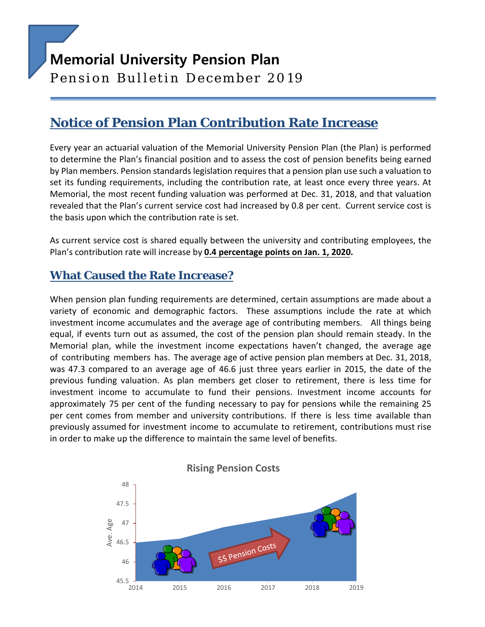# **Memorial University Pension Plan**

Pension Bulletin December 2019

# **Notice of Pension Plan Contribution Rate Increase**

Every year an actuarial valuation of the Memorial University Pension Plan (the Plan) is performed to determine the Plan's financial position and to assess the cost of pension benefits being earned by Plan members. Pension standards legislation requires that a pension plan use such a valuation to set its funding requirements, including the contribution rate, at least once every three years. At Memorial, the most recent funding valuation was performed at Dec. 31, 2018, and that valuation revealed that the Plan's current service cost had increased by 0.8 per cent. Current service cost is the basis upon which the contribution rate is set.

As current service cost is shared equally between the university and contributing employees, the Plan's contribution rate will increase by **0.4 percentage points on Jan. 1, 2020.**

#### **What Caused the Rate Increase?**

When pension plan funding requirements are determined, certain assumptions are made about a variety of economic and demographic factors. These assumptions include the rate at which investment income accumulates and the average age of contributing members. All things being equal, if events turn out as assumed, the cost of the pension plan should remain steady. In the Memorial plan, while the investment income expectations haven't changed, the average age of contributing members has. The average age of active pension plan members at Dec. 31, 2018, was 47.3 compared to an average age of 46.6 just three years earlier in 2015, the date of the previous funding valuation. As plan members get closer to retirement, there is less time for investment income to accumulate to fund their pensions. Investment income accounts for approximately 75 per cent of the funding necessary to pay for pensions while the remaining 25 per cent comes from member and university contributions. If there is less time available than previously assumed for investment income to accumulate to retirement, contributions must rise in order to make up the difference to maintain the same level of benefits.

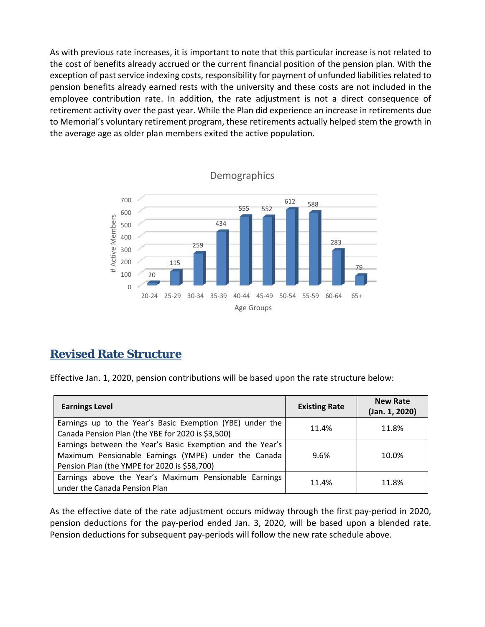As with previous rate increases, it is important to note that this particular increase is not related to the cost of benefits already accrued or the current financial position of the pension plan. With the exception of past service indexing costs, responsibility for payment of unfunded liabilities related to pension benefits already earned rests with the university and these costs are not included in the employee contribution rate. In addition, the rate adjustment is not a direct consequence of retirement activity over the past year. While the Plan did experience an increase in retirements due to Memorial's voluntary retirement program, these retirements actually helped stem the growth in the average age as older plan members exited the active population.



#### **Revised Rate Structure**

Effective Jan. 1, 2020, pension contributions will be based upon the rate structure below:

| <b>Earnings Level</b>                                                                                                                                              | <b>Existing Rate</b> | <b>New Rate</b><br>(Jan. 1, 2020) |
|--------------------------------------------------------------------------------------------------------------------------------------------------------------------|----------------------|-----------------------------------|
| Earnings up to the Year's Basic Exemption (YBE) under the<br>Canada Pension Plan (the YBE for 2020 is \$3,500)                                                     | 11.4%                | 11.8%                             |
| Earnings between the Year's Basic Exemption and the Year's<br>Maximum Pensionable Earnings (YMPE) under the Canada<br>Pension Plan (the YMPE for 2020 is \$58,700) | 9.6%                 | 10.0%                             |
| Earnings above the Year's Maximum Pensionable Earnings<br>under the Canada Pension Plan                                                                            | 11.4%                | 11.8%                             |

As the effective date of the rate adjustment occurs midway through the first pay-period in 2020, pension deductions for the pay-period ended Jan. 3, 2020, will be based upon a blended rate. Pension deductions for subsequent pay-periods will follow the new rate schedule above.